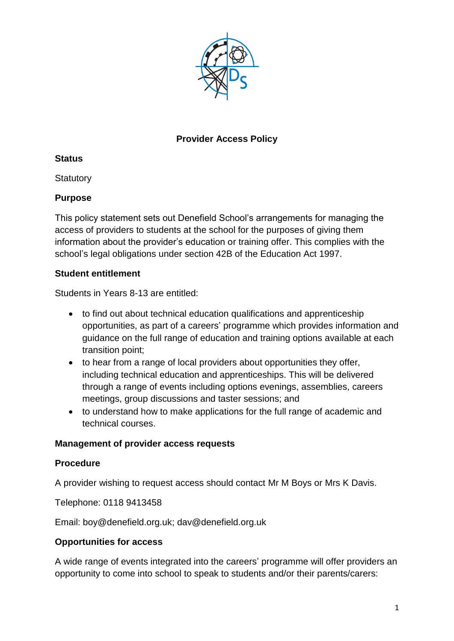

### **Provider Access Policy**

#### **Status**

**Statutory** 

# **Purpose**

This policy statement sets out Denefield School's arrangements for managing the access of providers to students at the school for the purposes of giving them information about the provider's education or training offer. This complies with the school's legal obligations under section 42B of the Education Act 1997.

# **Student entitlement**

Students in Years 8-13 are entitled:

- to find out about technical education qualifications and apprenticeship opportunities, as part of a careers' programme which provides information and guidance on the full range of education and training options available at each transition point;
- to hear from a range of local providers about opportunities they offer, including technical education and apprenticeships. This will be delivered through a range of events including options evenings, assemblies, careers meetings, group discussions and taster sessions; and
- to understand how to make applications for the full range of academic and technical courses.

#### **Management of provider access requests**

# **Procedure**

A provider wishing to request access should contact Mr M Boys or Mrs K Davis.

Telephone: 0118 9413458

Email: boy@denefield.org.uk; dav@denefield.org.uk

#### **Opportunities for access**

A wide range of events integrated into the careers' programme will offer providers an opportunity to come into school to speak to students and/or their parents/carers: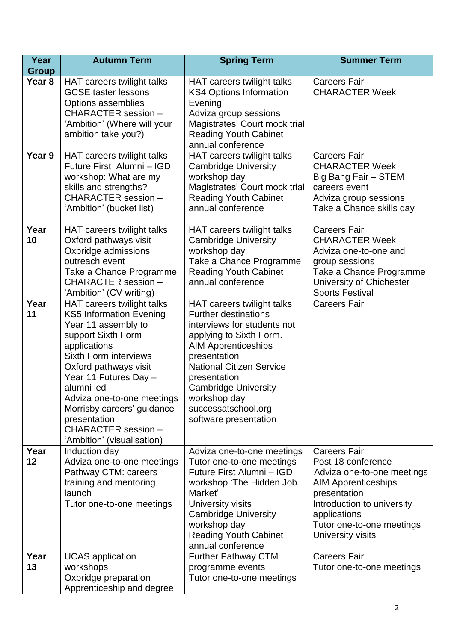| Year<br><b>Group</b> | <b>Autumn Term</b>                                                                                                                                                                                                                                                                                                                                         | <b>Spring Term</b>                                                                                                                                                                                                                                                                                                  | <b>Summer Term</b>                                                                                                                                                                                                    |
|----------------------|------------------------------------------------------------------------------------------------------------------------------------------------------------------------------------------------------------------------------------------------------------------------------------------------------------------------------------------------------------|---------------------------------------------------------------------------------------------------------------------------------------------------------------------------------------------------------------------------------------------------------------------------------------------------------------------|-----------------------------------------------------------------------------------------------------------------------------------------------------------------------------------------------------------------------|
| Year <sub>8</sub>    | HAT careers twilight talks<br><b>GCSE</b> taster lessons<br>Options assemblies<br>CHARACTER session -<br>'Ambition' (Where will your<br>ambition take you?)                                                                                                                                                                                                | HAT careers twilight talks<br><b>KS4 Options Information</b><br>Evening<br>Adviza group sessions<br>Magistrates' Court mock trial<br><b>Reading Youth Cabinet</b><br>annual conference                                                                                                                              | <b>Careers Fair</b><br><b>CHARACTER Week</b>                                                                                                                                                                          |
| Year 9               | HAT careers twilight talks<br>Future First Alumni - IGD<br>workshop: What are my<br>skills and strengths?<br>CHARACTER session -<br>'Ambition' (bucket list)                                                                                                                                                                                               | HAT careers twilight talks<br><b>Cambridge University</b><br>workshop day<br>Magistrates' Court mock trial<br><b>Reading Youth Cabinet</b><br>annual conference                                                                                                                                                     | <b>Careers Fair</b><br><b>CHARACTER Week</b><br>Big Bang Fair - STEM<br>careers event<br>Adviza group sessions<br>Take a Chance skills day                                                                            |
| Year<br>10           | HAT careers twilight talks<br>Oxford pathways visit<br>Oxbridge admissions<br>outreach event<br>Take a Chance Programme<br>CHARACTER session -<br>'Ambition' (CV writing)                                                                                                                                                                                  | HAT careers twilight talks<br><b>Cambridge University</b><br>workshop day<br>Take a Chance Programme<br><b>Reading Youth Cabinet</b><br>annual conference                                                                                                                                                           | <b>Careers Fair</b><br><b>CHARACTER Week</b><br>Adviza one-to-one and<br>group sessions<br>Take a Chance Programme<br>University of Chichester<br><b>Sports Festival</b>                                              |
| Year<br>11           | HAT careers twilight talks<br><b>KS5 Information Evening</b><br>Year 11 assembly to<br>support Sixth Form<br>applications<br><b>Sixth Form interviews</b><br>Oxford pathways visit<br>Year 11 Futures Day -<br>alumni led<br>Adviza one-to-one meetings<br>Morrisby careers' guidance<br>presentation<br>CHARACTER session -<br>'Ambition' (visualisation) | HAT careers twilight talks<br><b>Further destinations</b><br>interviews for students not<br>applying to Sixth Form.<br><b>AIM Apprenticeships</b><br>presentation<br><b>National Citizen Service</b><br>presentation<br><b>Cambridge University</b><br>workshop day<br>successatschool.org<br>software presentation | <b>Careers Fair</b>                                                                                                                                                                                                   |
| Year<br>12           | Induction day<br>Adviza one-to-one meetings<br>Pathway CTM: careers<br>training and mentoring<br>launch<br>Tutor one-to-one meetings                                                                                                                                                                                                                       | Adviza one-to-one meetings<br>Tutor one-to-one meetings<br>Future First Alumni - IGD<br>workshop 'The Hidden Job<br>Market'<br>University visits<br><b>Cambridge University</b><br>workshop day<br><b>Reading Youth Cabinet</b><br>annual conference                                                                | <b>Careers Fair</b><br>Post 18 conference<br>Adviza one-to-one meetings<br><b>AIM Apprenticeships</b><br>presentation<br>Introduction to university<br>applications<br>Tutor one-to-one meetings<br>University visits |
| Year<br>13           | <b>UCAS</b> application<br>workshops<br>Oxbridge preparation<br>Apprenticeship and degree                                                                                                                                                                                                                                                                  | <b>Further Pathway CTM</b><br>programme events<br>Tutor one-to-one meetings                                                                                                                                                                                                                                         | <b>Careers Fair</b><br>Tutor one-to-one meetings                                                                                                                                                                      |